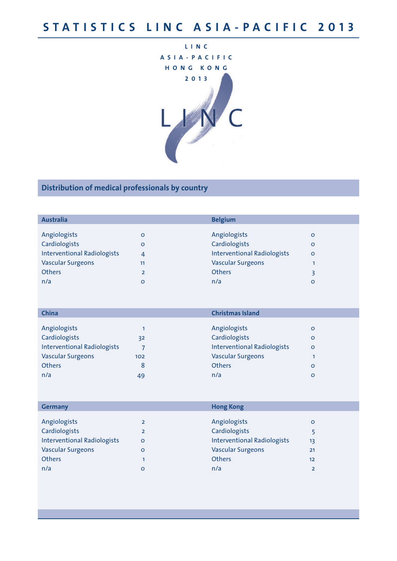

| <b>Australia</b>                   |                | <b>Belgium</b>                     |         |
|------------------------------------|----------------|------------------------------------|---------|
|                                    |                |                                    |         |
| Angiologists                       | o              | Angiologists                       | o       |
| Cardiologists                      | o              | Cardiologists                      | o       |
| <b>Interventional Radiologists</b> | 4              | <b>Interventional Radiologists</b> | $\circ$ |
| <b>Vascular Surgeons</b>           | 11             | <b>Vascular Surgeons</b>           |         |
| <b>Others</b>                      | $\overline{2}$ | <b>Others</b>                      |         |
| n/a                                | o              | n/a                                | o       |
|                                    |                |                                    |         |

| China                              |     | <b>Christmas Island</b>            |         |
|------------------------------------|-----|------------------------------------|---------|
|                                    |     |                                    |         |
| Angiologists                       |     | Angiologists                       | o       |
| Cardiologists                      | 32  | Cardiologists                      | $\circ$ |
| <b>Interventional Radiologists</b> |     | <b>Interventional Radiologists</b> | $\circ$ |
| <b>Vascular Surgeons</b>           | 102 | <b>Vascular Surgeons</b>           |         |
| <b>Others</b>                      | 8   | <b>Others</b>                      | o       |
| n/a                                | 49  | n/a                                | O       |

| <b>Germany</b>                     |                | <b>Hong Kong</b>                   |         |
|------------------------------------|----------------|------------------------------------|---------|
|                                    |                |                                    |         |
| Angiologists                       | $\overline{2}$ | Angiologists                       | $\circ$ |
| Cardiologists                      | $\overline{2}$ | Cardiologists                      |         |
| <b>Interventional Radiologists</b> | o              | <b>Interventional Radiologists</b> | 13      |
| <b>Vascular Surgeons</b>           | o              | <b>Vascular Surgeons</b>           | 21      |
| <b>Others</b>                      |                | <b>Others</b>                      | 12      |
| n/a                                | o              | n/a                                |         |
|                                    |                |                                    |         |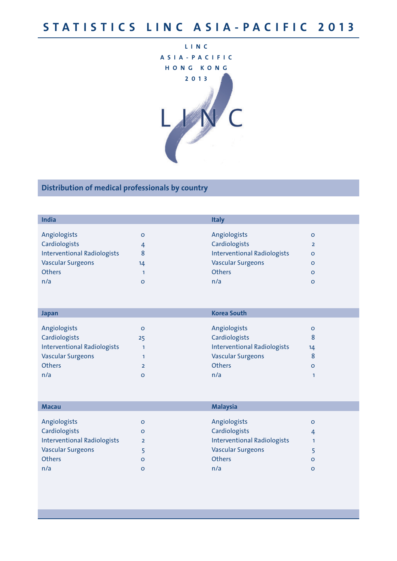

| <b>India</b>                       |    | <b>Italy</b>                       |         |
|------------------------------------|----|------------------------------------|---------|
|                                    |    |                                    |         |
| Angiologists                       | o  | Angiologists                       | o       |
| Cardiologists                      | 4  | Cardiologists                      |         |
| <b>Interventional Radiologists</b> | 8  | <b>Interventional Radiologists</b> | $\circ$ |
| <b>Vascular Surgeons</b>           | 14 | <b>Vascular Surgeons</b>           | o       |
| <b>Others</b>                      |    | <b>Others</b>                      | o       |
| n/a                                | o  | n/a                                | o       |

| Japan                              |                | <b>Korea South</b>                 |    |
|------------------------------------|----------------|------------------------------------|----|
|                                    |                |                                    |    |
| Angiologists                       | o              | Angiologists                       | o  |
| Cardiologists                      | 25             | Cardiologists                      | 8  |
| <b>Interventional Radiologists</b> |                | <b>Interventional Radiologists</b> | 14 |
| <b>Vascular Surgeons</b>           |                | <b>Vascular Surgeons</b>           | 8  |
| <b>Others</b>                      | $\overline{2}$ | <b>Others</b>                      | o  |
| n/a                                | o              | n/a                                |    |

|                | <b>Malaysia</b>                    |                               |
|----------------|------------------------------------|-------------------------------|
|                |                                    |                               |
|                |                                    | $\circ$                       |
| o              |                                    | 4                             |
| $\overline{2}$ | <b>Interventional Radiologists</b> |                               |
|                | <b>Vascular Surgeons</b>           |                               |
| o              | <b>Others</b>                      | $\circ$                       |
| o              | n/a                                | o                             |
|                | o                                  | Angiologists<br>Cardiologists |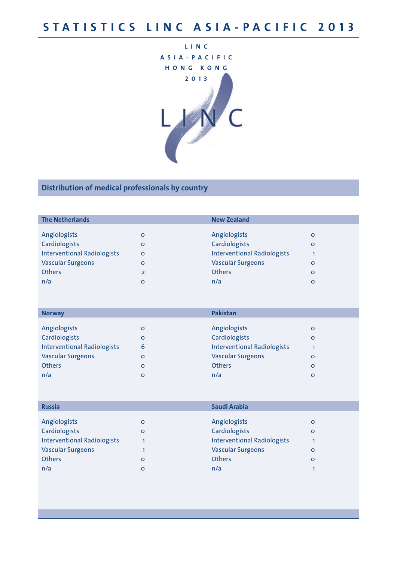

|                | <b>New Zealand</b>                 |              |
|----------------|------------------------------------|--------------|
|                |                                    |              |
| O              |                                    | $\circ$      |
| O              | Cardiologists                      | $\circ$      |
| $\circ$        | <b>Interventional Radiologists</b> |              |
| O              | <b>Vascular Surgeons</b>           | o            |
| $\overline{2}$ | <b>Others</b>                      | $\circ$      |
| O              | n/a                                | o            |
|                |                                    | Angiologists |

| <b>Norway</b>                      |   | <b>Pakistan</b>                    |         |
|------------------------------------|---|------------------------------------|---------|
|                                    |   |                                    |         |
| Angiologists                       | o | Angiologists                       | O       |
| Cardiologists                      | o | Cardiologists                      | $\circ$ |
| <b>Interventional Radiologists</b> | 6 | <b>Interventional Radiologists</b> |         |
| <b>Vascular Surgeons</b>           | o | <b>Vascular Surgeons</b>           | O       |
| <b>Others</b>                      | o | <b>Others</b>                      | $\circ$ |
| n/a                                | O | n/a                                | O       |

| <b>Russia</b>                      |         | Saudi Arabia                       |         |
|------------------------------------|---------|------------------------------------|---------|
|                                    |         |                                    |         |
| Angiologists                       | o       | Angiologists                       | $\circ$ |
| Cardiologists                      | $\circ$ | Cardiologists                      | $\circ$ |
| <b>Interventional Radiologists</b> |         | <b>Interventional Radiologists</b> |         |
| <b>Vascular Surgeons</b>           |         | <b>Vascular Surgeons</b>           | $\circ$ |
| <b>Others</b>                      | o       | <b>Others</b>                      | $\circ$ |
| n/a                                | o       | n/a                                |         |
|                                    |         |                                    |         |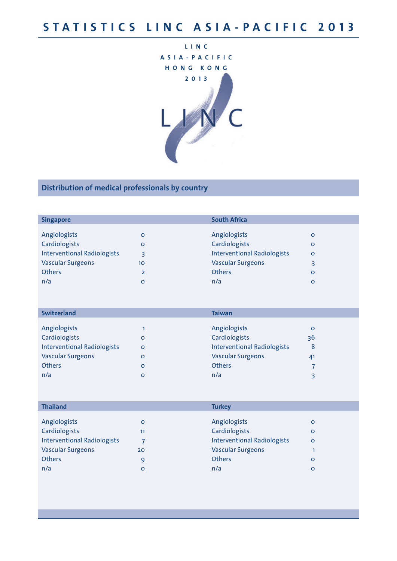

| <b>Singapore</b>                   |                | <b>South Africa</b>                |         |
|------------------------------------|----------------|------------------------------------|---------|
|                                    |                |                                    |         |
| Angiologists                       | O              | Angiologists                       | $\circ$ |
| Cardiologists                      | O              | Cardiologists                      | $\circ$ |
| <b>Interventional Radiologists</b> | ₹              | <b>Interventional Radiologists</b> | $\circ$ |
| <b>Vascular Surgeons</b>           | 10             | <b>Vascular Surgeons</b>           |         |
| <b>Others</b>                      | $\overline{2}$ | <b>Others</b>                      | $\circ$ |
| n/a                                | O              | n/a                                | o       |

| <b>Switzerland</b>                 |   | <b>Taiwan</b>                      |    |
|------------------------------------|---|------------------------------------|----|
|                                    |   |                                    |    |
| Angiologists                       |   | Angiologists                       | O  |
| Cardiologists                      | o | Cardiologists                      | 36 |
| <b>Interventional Radiologists</b> | o | <b>Interventional Radiologists</b> | 8  |
| <b>Vascular Surgeons</b>           | o | <b>Vascular Surgeons</b>           | 41 |
| <b>Others</b>                      | o | <b>Others</b>                      |    |
| n/a                                | o | n/a                                |    |

| <b>Thailand</b>                    |    | <b>Turkey</b>                      |         |  |
|------------------------------------|----|------------------------------------|---------|--|
|                                    |    |                                    |         |  |
| Angiologists                       | O  | Angiologists                       | $\circ$ |  |
| Cardiologists                      | 11 | Cardiologists                      | $\circ$ |  |
| <b>Interventional Radiologists</b> | ⇁  | <b>Interventional Radiologists</b> | $\circ$ |  |
| <b>Vascular Surgeons</b>           | 20 | <b>Vascular Surgeons</b>           |         |  |
| <b>Others</b>                      | 9  | <b>Others</b>                      | $\circ$ |  |
| n/a                                | O  | n/a                                | $\circ$ |  |